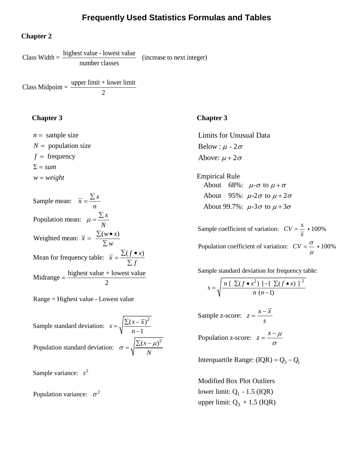# **Frequently Used Statistics Formulas and Tables**

#### **Chapter 2**

Class Width  $=$   $\frac{\text{highest value - lowest value}}{\text{number classes}}$  (increase to next integer)

Class Midpoint =  $\frac{\text{upper limit} + \text{lower limit}}{2}$ 

#### **Chapter 3**

 $n =$  sample size  $N =$  population size  $f = \text{frequency}$  $\Sigma = sum$  $w = weight$ 

Sample mean:  $\bar{x} = \frac{\sum x}{\sum x}$ Population mean:  $\mu = \frac{\sum x}{\sum x}$ Weighted mean:  $\bar{x} = \frac{\sum (w \bullet x)}{\sum x}$ Mean for frequency table:  $\bar{x} = \frac{\sum (f \cdot x)}{\sum x^2}$ Midrange =  $\frac{\text{highest value} + \text{lowest value}}{2}$ *n*  $\mu = \frac{\sum N}{}$  $= \frac{\sum(w \bullet \ \sum w)}{\sum w}$  $=\frac{\sum (f \bullet \ \sum f)}{\sum f}$  $=\frac{\sum}{}$ 

Range = Highest value - Lowest value

Sample standard deviation:  $s = \sqrt{\frac{\sum (x - \overline{x})^2}{n-1}}$ Population standard deviation:  $\sigma = \sqrt{\frac{\sum (x - \mu)^2}{n}}$  $=\sqrt{\frac{\sum(x-n)}{n}}$ *N*  $\sigma = \sqrt{\frac{\sum (x - \mu)}{\sigma}}$ 

Sample variance:  $s^2$ 

Population variance:  $\sigma^2$ 

# **Chapter 3**

Limits for Unusual Data Below :  $\mu$  - 2 $\sigma$ Above:  $\mu + 2\sigma$ 

Empirical Rule About 68%:  $\mu$ - $\sigma$  to  $\mu$ + $\sigma$ About 95%:  $\mu$ -2 $\sigma$  to  $\mu$ +2 $\sigma$ About 99.7%:  $\mu$ -3 $\sigma$  to  $\mu$ +3 $\sigma$ 

Sample coefficient of variation:  $CV = \frac{s}{s} \cdot 100\%$ Population coefficient of variation:  $CV = \frac{\sigma}{\sigma} \cdot 100\%$ *x*  $\mu$  $=\frac{b}{-}$  .  $=$  $\frac{0}{x}$ .

Sample standard deviation for frequency table:

$$
s = \sqrt{\frac{n \left[ \sum (f \bullet x^2) \right] - \left[ \sum (f \bullet x) \right]^2}{n (n-1)}}
$$

Sample z-score:  $z = \frac{x - \overline{x}}{2}$ *s*  $=\frac{x-$ 

Population z-score:  $z = \frac{x - \mu}{\sigma}$ 

Interquartile Range:  $(IQR) = Q_3 - Q_1$ 

lower limit:  $Q_1 - 1.5$  (IQR) upper limit:  $Q_3 + 1.5$  (IQR) Modified Box Plot Outliers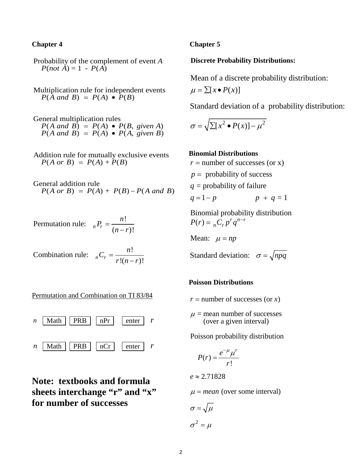#### **Chapter 4**

Probability of the complement of event *A*  $P(not \overrightarrow{A}) = 1 - P(\overrightarrow{A})$ 

Multiplication rule for independent events  $P(\overline{A} \text{ and } B) = P(A) \bullet \overline{P(B)}$ 

General multiplication rules  $P(A \text{ and } B) = P(A) \bullet P(B, \text{ given } A)$  $P(A \text{ and } B) = P(A) \bullet P(A, \text{ given } B)$ 

Addition rule for mutually exclusive events  $P(A \text{ or } B) = P(A) + P(B)$ 

General addition rule  $P(A \text{ or } B) = P(A) + P(B) - P(A \text{ and } B)$ 

Permutation rule:  $_{n}P_{r} = \frac{n!}{\sqrt{n!}}$  $n^I r = \frac{}{(n-r)!}$  $P_r = \frac{n!}{(n-r)}$ 

Combination rule:  ${}_{n}C_{r} = \frac{n!}{\cdots}$  $_{n}C_{r} - \frac{r!(n-r)!}{r!(n-r)!}$  $C_r = \frac{n!}{r!(n-r)!}$ 

Permutation and Combination on TI 83/84



**Note: textbooks and formula**  sheets interchange "r" and "x" **for number of successes**

#### **Chapter 5**

#### **Discrete Probability Distributions:**

Mean of a discrete probability distribution:

$$
\mu = \sum [x \bullet P(x)]
$$

Standard deviation of a probability distribution:

$$
\sigma = \sqrt{\sum [x^2 \bullet P(x)] - \mu^2}
$$

**Binomial Distributions**  $r =$  number of successes (or x)  $p =$  probability of success  $q$  = probability of failure  $p + q = 1$  $q = 1-p$   $p + q$ 

Binomial probability distribution  $(r) = {}_{n}C_{r}p^{r}q^{n-r}$  $P(r) = \binom{r}{r} p^r q^{n-r}$ 

Mean:  $\mu = np$ 

Standard deviation:  $\sigma = \sqrt{npq}$ 

#### **Poisson Distributions**

 $r =$  number of successes (or  $x$ )

 $\mu$  = mean number of successes (over a given interval)

Poisson probability distribution

$$
P(r) = \frac{e^{-\mu}\mu^r}{r!}
$$

2.71828 *e* ≈

 $\mu$  = *mean* (over some interval)

$$
\sigma = \sqrt{\mu}
$$

$$
\sigma^2 = \mu
$$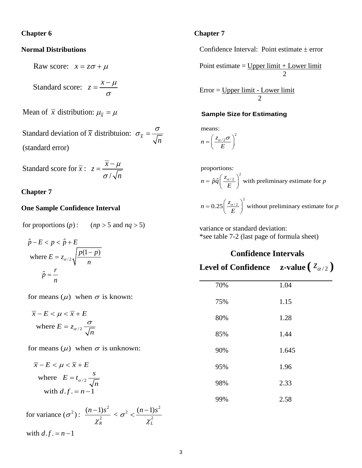#### **Chapter 6**

#### **Normal Distributions**

Raw score:  $x = z\sigma + \mu$ 

Standard score: *x*  $z = \frac{x - \mu}{\sigma}$ σ  $=\frac{x-$ 

Mean of  $\bar{x}$  distribution:  $\mu_{\bar{x}} = \mu$ 

Standard deviation of  $\overline{x}$  distribtuion:  $\sigma_{\overline{x}}$ (standard error) *n* σ  $\sigma_{\overline{r}} =$ 

Standard score for  $\bar{x}$  : / *x*  $\overline{x}$  : z *n*  $\mu$ σ  $=\frac{\overline{x}-}{\overline{x}}$ 

### **Chapter 7**

## **One Sample Confidence Interval**

for proportions  $(p)$ :  $p$  : (*np* > 5 and *nq* >

$$
\hat{p} - E < p < \hat{p} + E
$$
\n
$$
\text{where } E = z_{\alpha/2} \sqrt{\frac{p(1-p)}{n}}
$$
\n
$$
\hat{p} = \frac{r}{n}
$$

for means  $(\mu)$  when  $\sigma$  is known:

where  $E = z_{\alpha/2}$  $\overline{x} - E < \mu < \overline{x} + E$ *n* α  $=z_{\alpha/2}\frac{\sigma}{\sqrt{2}}$ 

for means  $(\mu)$  when  $\sigma$  is unknown:

$$
\overline{x} - E < \mu < \overline{x} + E
$$
\nwhere  $E = t_{\alpha/2} \frac{s}{\sqrt{n}}$ 

with 
$$
d.f. = n-1
$$

 $2)$ ,  $(n-1)s^2$   $\leq$   $\pi^2$   $(n-1)s^2$ for variance  $({\sigma}^2)$ :  $\frac{(n-1)s^2}{s^2} < {\sigma}^2 < \frac{(n-1)s^2}{s^2}$ with  $d.f. = n-1$ *R L*  $\sigma^2$ ):  $\frac{(n-1)s^2}{s} < \sigma^2 < \frac{(n-1)s}{s}$  $\chi_{R}$   $\chi$  $\frac{-1)s^2}{2} < \sigma^2 < \frac{(n-1)s}{2}$ 

#### **Chapter 7**

Confidence Interval: Point estimate  $\pm$  error

Point estimate  $=$  Upper limit  $+$  Lower limit  $\mathcal{D}_{\alpha}$ 

Error = Upper limit - Lower limit 2

#### **Sample Size for Estimating**

2  $n = \left(\frac{z_{\alpha/2}}{E}\right)$ means:  $=\left(\frac{z_{\alpha/2}\sigma}{E}\right)$ 

proportions:  
\n
$$
n = \hat{p}\hat{q} \left(\frac{z_{\alpha/2}}{E}\right)^2
$$
\nwith preliminary estimate for  $p$   
\n
$$
n = 0.25 \left(\frac{z_{\alpha/2}}{E}\right)^2
$$
\nwithout preliminary estimate for  $p$ 

variance or standard deviation: \*see table 7-2 (last page of formula sheet)

# **Confidence Intervals Level of Confidence z-value**  $(z_{\alpha/2})$

| 70% | 1.04  |
|-----|-------|
| 75% | 1.15  |
| 80% | 1.28  |
| 85% | 1.44  |
| 90% | 1.645 |
| 95% | 1.96  |
| 98% | 2.33  |
| 99% | 2.58  |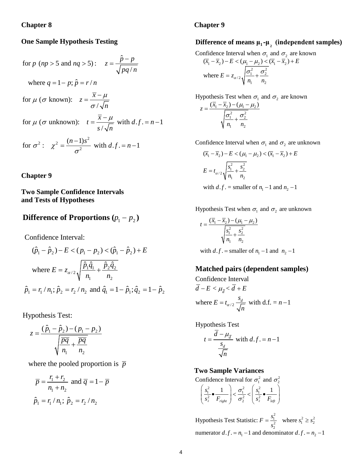#### **Chapter 8**

#### **One Sample Hypothesis Testing**

for 
$$
p
$$
 ( $np > 5$  and  $nq > 5$ ):  $z = \frac{\hat{p} - p}{\sqrt{pq/n}}$   
\nwhere  $q = 1 - p$ ;  $\hat{p} = r/n$   
\nfor  $\mu$  ( $\sigma$  known):  $z = \frac{\overline{x} - \mu}{\sigma/\sqrt{n}}$   
\nfor  $\mu$  ( $\sigma$  unknown):  $t = \frac{\overline{x} - \mu}{s/\sqrt{n}}$  with  $d.f. = n - 1$   
\nfor  $\sigma^2$ :  $\chi^2 = \frac{(n-1)s^2}{\sigma^2}$  with  $d.f. = n - 1$ 

### **Chapter 9**

# **Two Sample Confidence Intervals and Tests of Hypotheses**

# **Difference of Proportions**  $(p_1 - p_2)$

Confidence Interval:

$$
(\hat{p}_1 - \hat{p}_2) - E < (p_1 - p_2) < (\hat{p}_1 - \hat{p}_2) + E
$$
\n
$$
\text{where } E = z_{\alpha/2} \sqrt{\frac{\hat{p}_1 \hat{q}_1}{n_1} + \frac{\hat{p}_2 \hat{q}_2}{n_2}}
$$
\n
$$
\hat{p}_1 = r_1 / n_1; \hat{p}_2 = r_2 / n_2 \text{ and } \hat{q}_1 = 1 - \hat{p}_1; \hat{q}_2 = 1 - \hat{p}_2
$$

Hypothesis Test:

$$
z = \frac{(\hat{p}_1 - \hat{p}_2) - (p_1 - p_2)}{\sqrt{\frac{\overline{pq}}{n_1} + \frac{\overline{pq}}{n_2}}}
$$

where the pooled proportion is  $\bar{p}$ 

$$
\overline{p} = \frac{r_1 + r_2}{n_1 + n_2}
$$
 and  $\overline{q} = 1 - \overline{p}$   
 $\hat{p}_1 = r_1 / n_1$ ;  $\hat{p}_2 = r_2 / n_2$ 

#### **Chapter 9**

# **Difference of means**  $\mu_1$ **-** $\mu_2$  **(independent samples)**

Confidence Interval when  $\sigma_1$  and  $\sigma_2$  are known

$$
(\overline{x}_1 - \overline{x}_2) - E < (\mu_1 - \mu_2) < (\overline{x}_1 - \overline{x}_2) + E
$$
\nwhere  $E = z_{\alpha/2} \sqrt{\frac{\sigma_1^2}{n_1} + \frac{\sigma_2^2}{n_2}}$ 

Hypothesis Test when 
$$
\sigma_1
$$
 and  $\sigma_2$  are known

$$
z = \frac{(\overline{x}_1 - \overline{x}_2) - (\mu_1 - \mu_2)}{\sqrt{\frac{\sigma_1^2}{n_1} + \frac{\sigma_2^2}{n_2}}}
$$

Confidence Interval when  $\sigma_1$  and  $\sigma_2$  are unknown

$$
(\overline{x}_1 - \overline{x}_2) - E < (\mu_1 - \mu_2) < (\overline{x}_1 - \overline{x}_2) + E
$$
\n
$$
E = t_{\alpha/2} \sqrt{\frac{s_1^2}{n_1} + \frac{s_2^2}{n_2}}
$$
\nwith  $d, f_1, \text{ and } g_2, \text{ and } g_3, \text{ and } g_4, \text{ and } g_5, \text{ and } g_6, \text{ and } g_7, \text{ and } g_8, \text{ and } g_9, \text{ and } g_9, \text{ and } g_9, \text{ and } g_9, \text{ and } g_9, \text{ and } g_9, \text{ and } g_9, \text{ and } g_9, \text{ and } g_9, \text{ and } g_9, \text{ and } g_9, \text{ and } g_9, \text{ and } g_9, \text{ and } g_9, \text{ and } g_9, \text{ and } g_9, \text{ and } g_9, \text{ and } g_9, \text{ and } g_9, \text{ and } g_9, \text{ and } g_9, \text{ and } g_9, \text{ and } g_9, \text{ and } g_9, \text{ and } g_9, \text{ and } g_9, \text{ and } g_9, \text{ and } g_9, \text{ and } g_9, \text{ and } g_9, \text{ and } g_9, \text{ and } g_9, \text{ and } g_9, \text{ and } g_9, \text{ and } g_9, \text{ and } g_9, \text{ and } g_9, \text{ and } g_9, \text{ and } g_9, \text{ and } g_9, \text{ and } g_9, \text{ and } g_9, \text{ and } g_9, \text{ and } g_9, \text{ and } g_9, \text{ and } g_9, \text{ and } g_9, \text{ and } g_9, \text{ and } g_9, \text{ and } g_9, \text{ and } g_9, \text{ and } g_9, \text{ and } g_9, \text{ and } g_9, \text{ and } g_9, \text{ and } g_9, \text{ and } g_9, \text{ and } g_9, \text{ and } g_9, \text{ and } g_9, \text{ and } g_9, \text{ and } g_9, \text{ and } g_9, \text{ and } g_9, \text{ and } g_9, \text{$ 

with  $d.f.$  = smaller of  $n_1 - 1$  and  $n_2 - 1$ 

Hypothesis Test when  $\sigma_1$  and  $\sigma_2$  are unknown

$$
t = \frac{(\overline{x}_1 - \overline{x}_2) - (\mu_1 - \mu_2)}{\sqrt{\frac{s_1^2}{n_1} + \frac{s_2^2}{n_2}}}
$$

with  $d.f.$  = smaller of  $n_1 - 1$  and  $n_2 - 1$ 

# **Matched pairs (dependent samples)**

where  $E = t_{\alpha/2} \frac{s_d}{\sqrt{n}}$  with d.f. =  $n-1$ Confidence Interval  $d - E < \mu_{\overline{d}} < d + E$  $= t_{\alpha/2} \frac{d}{\sqrt{n}}$  with d.f. = *n* –

Hypothesis Test

$$
t = \frac{d - \mu_{\overline{d}}}{\frac{s_d}{\sqrt{n}}}
$$
 with  $d.f. = n - 1$ 

#### **Two Sample Variances**

Confidence Interval for  $\sigma_1^2$  and  $\sigma_2^2$ 

$$
\left(\frac{s_1^2}{s_2^2} \bullet \frac{1}{F_{right}}\right) < \frac{\sigma_1^2}{\sigma_2^2} < \left(\frac{s_1^2}{s_2^2} \bullet \frac{1}{F_{left}}\right)
$$

 $\frac{1}{2^2}$  where  $s_1^2 \ge s_2^2$ numerator  $d.f. = n_1 - 1$  and denominator  $d.f. = n_2 - 1$ Hypothesis Test Statistic:  $F = \frac{s_1^2}{2}$  where  $s_1^2 \geq s$ *s*  $=\frac{31}{2}$  where  $s_1^2 \ge$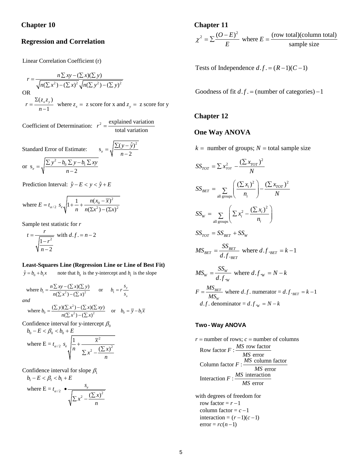#### **Regression and Correlation**

Linear Correlation Coefficient (r)

 $r = \frac{n \sum xy - (\sum x)(\sum y)}{\sqrt{n(\sum x^2) - (\sum x)^2} \sqrt{n(\sum y^2) - (\sum y)^2}}$  $(\sum x^2)$  –  $(\sum x)^2 \sqrt{n(\sum y^2)}$  –  $(\sum y)$ OR  $r = \frac{\Sigma(z_x z_y)}{n-1}$  where  $z_x = z$  score for x and  $z_y = z$  score for y  $r = \frac{n \sum xy - (\sum x)(\sum y)}{n \sum xy}$  $n(\sum x^2) - (\sum x)^2 \sqrt{n(\sum y^2)} - (\sum y^2)$  $r = \frac{\Sigma(z_x z_y)}{n-1}$  where  $z_x = z$  score for x and  $z_y = z$  $=\frac{n\sum xy - (\sum x)(\sum x)}{n\sum y}$  $\sum x^2$ ) –  $(\sum x)^2 \sqrt{n(\sum y^2)}$  –  $(\sum x)^2$ 

Coefficient of Determination:  $r^2 = \frac{\text{explained variation}}{\text{total variation}}$ ariation

Standard Error of Estimate:  $s_e = \sqrt{\frac{\sum (y - \hat{y})^2}{n - 2}}$ or  $s_e = \sqrt{\frac{\sum y^2 - b_0 \sum y - b_1}{n - 2}}$ *y y*  $=\sqrt{\frac{\sum(y-n)}{n}}$  $y^2 - b_0 \sum y - b_1 \sum xy$  $=\sqrt{\frac{\sum y^2-b_0\sum y-b_1\sum}{n-2}}$ 

Prediction Interval:  $\hat{y} - E < y < \hat{y} + E$ 

where 
$$
E = t_{\alpha/2} s_e \sqrt{1 + \frac{1}{n} + \frac{n(x_0 - \overline{x})^2}{n(\Sigma x^2) - (\Sigma x)^2}}
$$

Sample test statistic for *r*

$$
t = \frac{r}{\sqrt{\frac{1 - r^2}{n - 2}}}
$$
 with  $d.f. = n - 2$ 

#### **Least-Squares Line (Regression Line or Line of Best Fit)**

 $\hat{y} = b_0 + b_1 x$  note that  $b_0$  is the y-intercept and  $b_1$  is the slope  $\hat{y} = b_0 + b_1 x$ 

where 
$$
b_1 = \frac{n \sum xy - (\sum x)(\sum y)}{n(\sum x^2) - (\sum x)^2}
$$
 or  $b_1 = r \frac{s_y}{s_x}$   
and  
where  $b_0 = \frac{(\sum y)(\sum x^2) - (\sum x)(\sum xy)}{n(\sum x^2) - (\sum x)^2}$  or  $b_0 = \overline{y} - b_1 \overline{x}$ 

Confidence interval for y-intercept  $\beta_0$ 

$$
b_0 - E < \beta_0 < b_0 + E
$$
\nwhere  $E = t_{\alpha/2} s_e \sqrt{\frac{1}{n} + \frac{\overline{x}^2}{\sum x^2 - \frac{(\sum x)^2}{n}}}$ 

Confidence interval for slope  $\beta_1$ 

$$
b_1 - E < \beta_1 < b_1 + E
$$
\nwhere  $E = t_{\alpha/2}$  
$$
\underbrace{\phantom{\bigg\{\alpha_1 + \beta_2 = 0\}}_{\sqrt{\sum x^2 - \frac{(\sum x)^2}{n}}}}_{\text{max}}
$$

#### **Chapter 11**   $Z^2 = \sum \frac{(O-E)^2}{P}$  where  $E = \frac{(row total)(column total)}{P}$ sample size  $\frac{(O-E)^2}{E}$  where *E E*  $\chi^2 = \sum \frac{(O-E)^2}{D}$  where  $E =$

Tests of Independence  $d.f. = (R-1)(C-1)$ 

Goodness of fit  $d.f. =$  (number of categories) – 1

#### **Chapter 12**

#### **One Way ANOVA**

 $k =$  number of groups;  $N =$  total sample size

$$
SS_{TOT} = \sum x_{TOT}^2 - \frac{(\sum x_{TOT})^2}{N}
$$
  
\n
$$
SS_{BET} = \sum_{\text{all groups}} \left( \frac{(\sum x_i)^2}{n_i} \right) - \frac{(\sum x_{TOT})^2}{N}
$$
  
\n
$$
SS_W = \sum_{\text{all groups}} \left( \sum x_i^2 - \frac{(\sum x_i)^2}{n_i} \right)
$$
  
\n
$$
SS_{TOT} = SS_{BET} + SS_W
$$
  
\n
$$
MS_{BET} = \frac{SS_{BET}}{d.f \cdot_{BET}}
$$
 where  $d.f \cdot_{BET} = k - 1$   
\n
$$
MS_W = \frac{SS_W}{d.f \cdot_W}
$$
 where  $d.f \cdot_W = N - k$   
\n
$$
F = \frac{MS_{BET}}{MS_W}
$$
 where  $d.f \cdot_W = N - k$   
\n $d.f \cdot$  denominator =  $d.f \cdot_W = N - k$ 

#### **Two - Way ANOVA**

 $r =$  number of rows;  $c =$  number of columns Row factor  $F: \frac{MS \text{ row factor}}{MS \text{ error}}$ Column factor  $F: \frac{MS \text{ column factor}}{MS \text{ error}}$ Interaction  $F: \frac{MS}{MS}$  interaction

with degrees of freedom for row factor =  $r - 1$  $column factor = c - 1$  $interaction = (r-1)(c-1)$  $error = rc(n-1)$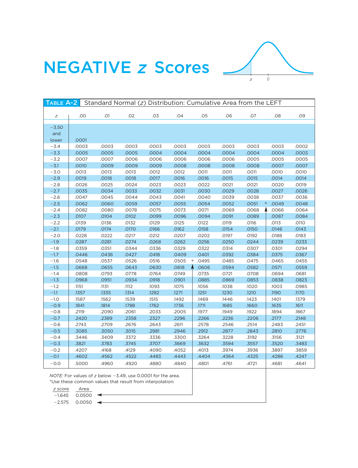

# **NEGATIVE z Scores**

| TABLE A-2 |       | Standard Normal (z) Distribution: Cumulative Area from the LEFT |       |       |       |            |       |       |                 |       |
|-----------|-------|-----------------------------------------------------------------|-------|-------|-------|------------|-------|-------|-----------------|-------|
| Ζ         | .00   | .01                                                             | .02   | .03   | .04   | .05        | .06   | .07   | .08             | .09   |
|           |       |                                                                 |       |       |       |            |       |       |                 |       |
| $-3.50$   |       |                                                                 |       |       |       |            |       |       |                 |       |
| and       |       |                                                                 |       |       |       |            |       |       |                 |       |
| lower     | .0001 |                                                                 |       |       |       |            |       |       |                 |       |
| $-3.4$    | .0003 | .0003                                                           | .0003 | .0003 | .0003 | .0003      | .0003 | .0003 | .0003           | .0002 |
| $-3.3$    | .0005 | .0005                                                           | .0005 | .0004 | .0004 | .0004      | .0004 | .0004 | .0004           | .0003 |
| $-3.2$    | .0007 | .0007                                                           | .0006 | .0006 | .0006 | .0006      | .0006 | .0005 | .0005           | .0005 |
| $-3.1$    | .0010 | .0009                                                           | .0009 | .0009 | .0008 | .0008      | .0008 | .0008 | .0007           | .0007 |
| $-3.0$    | .0013 | .0013                                                           | .0013 | .0012 | .0012 | .0011      | .0011 | .0011 | .0010           | .0010 |
| $-2.9$    | .0019 | .0018                                                           | .0018 | .0017 | .0016 | .0016      | .0015 | .0015 | .0014           | .0014 |
| $-2.8$    | .0026 | .0025                                                           | .0024 | .0023 | .0023 | .0022      | .0021 | .0021 | .0020           | .0019 |
| $-2.7$    | .0035 | .0034                                                           | .0033 | .0032 | .0031 | .0030      | .0029 | .0028 | .0027           | .0026 |
| $-2.6$    | .0047 | .0045                                                           | .0044 | .0043 | .0041 | .0040      | .0039 | .0038 | .0037           | .0036 |
| $-2.5$    | .0062 | .0060                                                           | .0059 | .0057 | .0055 | .0054      | .0052 | .0051 | .0049<br>$\ast$ | .0048 |
| $-2.4$    | .0082 | .0080                                                           | .0078 | .0075 | .0073 | .0071      | .0069 | .0068 | .0066           | .0064 |
| $-2.3$    | .0107 | .0104                                                           | .0102 | .0099 | .0096 | .0094      | .0091 | .0089 | .0087           | .0084 |
| $-2.2$    | .0139 | .0136                                                           | .0132 | .0129 | .0125 | .0122      | .0119 | .0116 | .0113           | .0110 |
| $-2.1$    | .0179 | .0174                                                           | .0170 | .0166 | .0162 | .0158      | .0154 | .0150 | .0146           | .0143 |
| $-2.0$    | .0228 | .0222                                                           | .0217 | .0212 | .0207 | .0202      | .0197 | .0192 | .0188           | .0183 |
| $-1.9$    | .0287 | .0281                                                           | .0274 | .0268 | .0262 | .0256      | .0250 | .0244 | .0239           | .0233 |
| $-1.8$    | .0359 | .0351                                                           | .0344 | .0336 | .0329 | .0322      | .0314 | .0307 | .0301           | .0294 |
| $-1.7$    | .0446 | .0436                                                           | .0427 | .0418 | .0409 | .0401      | .0392 | .0384 | .0375           | .0367 |
| $-1.6$    | .0548 | .0537                                                           | .0526 | .0516 | .0505 | .0495<br>∗ | .0485 | .0475 | .0465           | .0455 |
| $-1.5$    | .0668 | .0655                                                           | .0643 | .0630 | .0618 | 1.0606     | .0594 | .0582 | .0571           | .0559 |
| $-1.4$    | .0808 | .0793                                                           | .0778 | .0764 | .0749 | .0735      | .0721 | .0708 | .0694           | .0681 |
| $-1.3$    | .0968 | .0951                                                           | .0934 | .0918 | .0901 | .0885      | .0869 | .0853 | .0838           | .0823 |
| $-1.2$    | .1151 | .1131                                                           | .1112 | .1093 | .1075 | .1056      | .1038 | .1020 | .1003           | .0985 |
| $-1.1$    | .1357 | .1335                                                           | .1314 | .1292 | .1271 | .1251      | .1230 | .1210 | .1190           | .1170 |
| $-1.0$    | .1587 | .1562                                                           | .1539 | .1515 | .1492 | .1469      | .1446 | .1423 | .1401           | .1379 |
| $-0.9$    | .1841 | .1814                                                           | .1788 | .1762 | .1736 | .1711      | .1685 | .1660 | .1635           | .1611 |
| $-0.8$    | .2119 | .2090                                                           | .2061 | .2033 | .2005 | .1977      | .1949 | .1922 | .1894           | .1867 |
| $-0.7$    | .2420 | .2389                                                           | .2358 | .2327 | .2296 | .2266      | .2236 | .2206 | .2177           | .2148 |
| $-0.6$    | .2743 | .2709                                                           | .2676 | .2643 | .2611 | .2578      | .2546 | .2514 | .2483           | .2451 |
| $-0.5$    | .3085 | .3050                                                           | .3015 | .2981 | .2946 | .2912      | .2877 | .2843 | .2810           | .2776 |
| $-0.4$    | .3446 | .3409                                                           | .3372 | .3336 | .3300 | .3264      | .3228 | .3192 | .3156           | .3121 |
| $-0.3$    | .3821 | .3783                                                           | .3745 | .3707 | .3669 | .3632      | .3594 | .3557 | .3520           | .3483 |
| $-0.2$    | .4207 | .4168                                                           | .4129 | .4090 | .4052 | .4013      | .3974 | .3936 | .3897           | .3859 |
| $-0.1$    | .4602 | .4562                                                           | .4522 | .4483 | .4443 | .4404      | .4364 | .4325 | .4286           | .4247 |
| $-0.0$    | .5000 | .4960                                                           | .4920 | .4880 | .4840 | .4801      | .4761 | .4721 | .4681           | .4641 |

NOTE: For values of z below -3.49, use 0.0001 for the area. \*Use these common values that result from interpolation:

 $\frac{z \text{ score}}{-1.645}$   $\frac{\text{Area}}{0.0500}$ 

 $-2.575$  0.0050  $\leftarrow$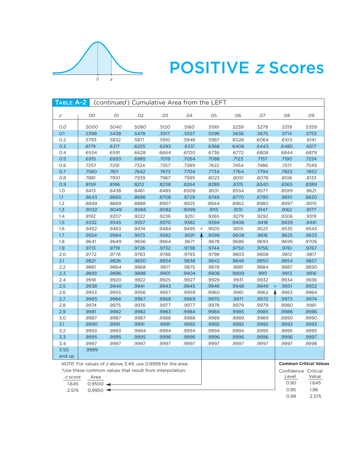

# **POSITIVE z Scores**

| TABLE A-2 |                        |       | (continued) Cumulative Area from the LEFT                  |       |                 |       |       |       |                  |                               |
|-----------|------------------------|-------|------------------------------------------------------------|-------|-----------------|-------|-------|-------|------------------|-------------------------------|
| Ζ         | .00                    | .01   | .02                                                        | .03   | .04             | .05   | .06   | .07   | .08              | .09                           |
| 0.0       | .5000                  | .5040 | .5080                                                      | .5120 | .5160           | .5199 | .5239 | .5279 | .5319            | .5359                         |
| O.1       | .5398                  | .5438 | .5478                                                      | .5517 | .5557           | .5596 | .5636 | .5675 | .5714            | .5753                         |
| 0.2       | .5793                  | .5832 | .5871                                                      | .5910 | .5948           | .5987 | .6026 | .6064 | .6103            | .6141                         |
| 0.3       | .6179                  | .6217 | .6255                                                      | .6293 | .6331           | .6368 | .6406 | .6443 | .6480            | .6517                         |
| 0.4       | .6554                  | .6591 | .6628                                                      | .6664 | .6700           | .6736 | .6772 | .6808 | .6844            | .6879                         |
| 0.5       | .6915                  | .6950 | .6985                                                      | .7019 | .7054           | .7088 | .7123 | .7157 | .7190            | .7224                         |
| 0.6       | .7257                  | .7291 | .7324                                                      | .7357 | .7389           | .7422 | .7454 | .7486 | .7517            | .7549                         |
| 0.7       | .7580                  | .7611 | .7642                                                      | .7673 | .7704           | .7734 | .7764 | .7794 | .7823            | .7852                         |
| 0.8       | .7881                  | .7910 | .7939                                                      | .7967 | .7995           | .8023 | .8051 | .8078 | .8106            | .8133                         |
| 0.9       | .8159                  | .8186 | .8212                                                      | .8238 | .8264           | .8289 | .8315 | .8340 | .8365            | .8389                         |
| 1.0       | .8413                  | .8438 | .8461                                                      | .8485 | .8508           | .8531 | .8554 | .8577 | .8599            | .8621                         |
| 1.1       | .8643                  | .8665 | .8686                                                      | .8708 | .8729           | .8749 | .8770 | .8790 | .8810            | .8830                         |
| 1.2       | .8849                  | .8869 | .8888                                                      | .8907 | .8925           | .8944 | .8962 | .8980 | .8997            | .9015                         |
| 1.3       | .9032                  | .9049 | .9066                                                      | .9082 | .9099           | .9115 | .9131 | .9147 | .9162            | .9177                         |
| 1.4       | .9192                  | .9207 | .9222                                                      | .9236 | .9251           | .9265 | .9279 | .9292 | .9306            | .9319                         |
| 1.5       | .9332                  | .9345 | .9357                                                      | .9370 | .9382           | .9394 | .9406 | .9418 | .9429            | .9441                         |
| 1.6       | .9452                  | .9463 | .9474                                                      | .9484 | .9495<br>$\ast$ | .9505 | .9515 | .9525 | .9535            | .9545                         |
| 1.7       | .9554                  | .9564 | .9573                                                      | .9582 | .9591           | .9599 | .9608 | .9616 | .9625            | .9633                         |
| 1.8       | .9641                  | .9649 | .9656                                                      | .9664 | .9671           | .9678 | .9686 | .9693 | .9699            | .9706                         |
| 1.9       | .9713                  | .9719 | .9726                                                      | .9732 | .9738           | .9744 | .9750 | .9756 | .9761            | .9767                         |
| 2.0       | .9772                  | .9778 | .9783                                                      | .9788 | .9793           | .9798 | .9803 | .9808 | .9812            | .9817                         |
| 2.1       | .9821                  | .9826 | .9830                                                      | .9834 | .9838           | .9842 | .9846 | .9850 | .9854            | .9857                         |
| 2.2       | .9861                  | .9864 | .9868                                                      | .9871 | .9875           | .9878 | .9881 | .9884 | .9887            | .9890                         |
| 2.3       | .9893                  | .9896 | .9898                                                      | .9901 | .9904           | .9906 | .9909 | .9911 | .9913            | .9916                         |
| 2.4       | .9918                  | .9920 | .9922                                                      | .9925 | .9927           | .9929 | .9931 | .9932 | .9934            | .9936                         |
| 2.5       | .9938                  | .9940 | .9941                                                      | .9943 | .9945           | .9946 | .9948 | .9949 | .9951<br>$\star$ | .9952                         |
| 2.6       | .9953                  | .9955 | .9956                                                      | .9957 | .9959           | .9960 | .9961 | .9962 | .9963            | .9964                         |
| 2.7       | .9965                  | .9966 | .9967                                                      | .9968 | .9969           | .9970 | .9971 | .9972 | .9973            | .9974                         |
| 2.8       | .9974                  | .9975 | .9976                                                      | .9977 | .9977           | .9978 | .9979 | .9979 | .9980            | .9981                         |
| 2.9       | .9981                  | .9982 | .9982                                                      | .9983 | .9984           | .9984 | .9985 | .9985 | .9986            | .9986                         |
| 3.0       | .9987                  | .9987 | .9987                                                      | .9988 | .9988           | .9989 | .9989 | .9989 | .9990            | .9990                         |
| 3.1       | .9990                  | .9991 | .9991                                                      | .9991 | .9992           | .9992 | .9992 | .9992 | .9993            | .9993                         |
| 3.2       | .9993                  | .9993 | .9994                                                      | .9994 | .9994           | .9994 | .9994 | .9995 | .9995            | .9995                         |
| 3.3       | .9995                  | .9995 | .9995                                                      | .9996 | .9996           | .9996 | .9996 | .9996 | .9996            | .9997                         |
| 3.4       | .9997                  | .9997 | .9997                                                      | .9997 | .9997           | .9997 | .9997 | .9997 | .9997            | .9998                         |
| 3.50      | .9999                  |       |                                                            |       |                 |       |       |       |                  |                               |
| and up    |                        |       |                                                            |       |                 |       |       |       |                  |                               |
|           |                        |       | NOTE: For values of z above 3.49, use 0.9999 for the area. |       |                 |       |       |       |                  | <b>Common Critical Values</b> |
|           |                        |       | *Use these common values that result from interpolation:   |       |                 |       |       |       |                  | Confidence Critical           |
| z score   | Area                   |       |                                                            |       |                 |       |       |       | Level            | Value                         |
| 1.645     | $0.9500 \triangleleft$ |       |                                                            |       |                 |       |       |       | 0.90             | 1.645                         |
| 2.575     | $0.9950$ $\leftarrow$  |       |                                                            |       |                 |       |       |       | 0.95             | 1.96                          |
|           |                        |       |                                                            |       |                 |       |       |       | 0.99             | 2.575                         |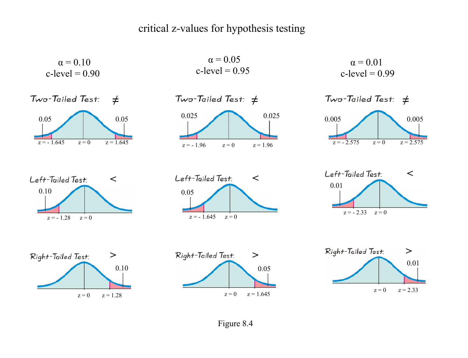# critical z-values for hypothesis testing













 $Two-Tailed Test:  $\neq$$  $z = -2.575$   $z = 0$   $z = 2.575$ 0.005 0.005

 $\alpha = 0.01$  $c$ -level =  $0.99$ 









Figure 8.4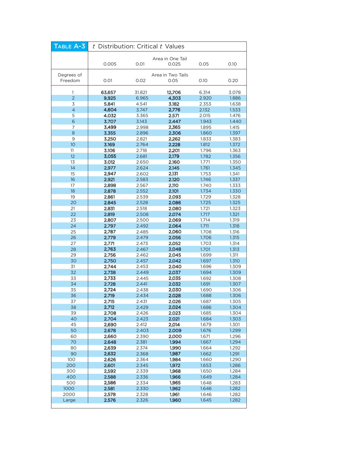| TABLE A-3             | t Distribution: Critical t Values |                |                           |                |                |  |
|-----------------------|-----------------------------------|----------------|---------------------------|----------------|----------------|--|
|                       | 0.005                             | 0.01           | Area in One Tail<br>0.025 | 0.05           | 0.10           |  |
| Degrees of<br>Freedom | 0.01                              | 0.02           | Area in Two Tails<br>0.05 | 0.10           | 0.20           |  |
| $\mathbf{1}$          | 63.657                            | 31.821         | 12.706                    | 6.314          | 3.078          |  |
| $\overline{2}$        | 9.925                             | 6.965          | 4.303                     | 2.920          | 1.886          |  |
| 3                     | 5.841                             | 4.541          | 3.182                     | 2.353          | 1.638          |  |
| $\overline{4}$        | 4.604                             | 3.747          | 2.776                     | 2.132          | 1.533          |  |
| 5                     | 4.032                             | 3.365          | 2.571                     | 2.015          | 1.476          |  |
| 6                     | 3.707                             | 3.143          | 2.447                     | 1.943          | 1.440          |  |
| 7                     | 3.499                             | 2.998          | 2.365                     | 1.895          | 1.415          |  |
| 8                     | 3.355                             | 2.896          | 2.306                     | 1.860          | 1.397          |  |
| 9                     | 3.250                             | 2.821          | 2.262                     | 1.833          | 1.383          |  |
| 10                    | 3.169                             | 2.764          | 2.228                     | 1.812          | 1.372          |  |
| 11                    | 3.106                             | 2.718          | 2.201                     | 1.796          | 1.363          |  |
| 12                    | 3.055                             | 2.681          | 2.179                     | 1.782          | 1.356          |  |
| 13                    | 3.012                             | 2.650          | 2.160                     | 1.771          | 1.350          |  |
| 14<br>15              | 2.977                             | 2.624          | 2.145                     | 1.761          | 1.345          |  |
| 16                    | 2.947<br>2.921                    | 2.602<br>2.583 | 2.131<br>2.120            | 1.753<br>1.746 | 1.341<br>1.337 |  |
| 17                    | 2.898                             | 2.567          | 2.110                     | 1.740          | 1.333          |  |
| 18                    | 2.878                             | 2.552          | 2.101                     | 1.734          | 1.330          |  |
| 19                    | 2.861                             | 2.539          | 2.093                     | 1.729          | 1.328          |  |
| 20                    | 2.845                             | 2.528          | 2.086                     | 1.725          | 1.325          |  |
| 21                    | 2.831                             | 2.518          | 2.080                     | 1.721          | 1.323          |  |
| 22                    | 2.819                             | 2.508          | 2.074                     | 1.717          | 1.321          |  |
| 23                    | 2.807                             | 2.500          | 2.069                     | 1.714          | 1.319          |  |
| 24                    | 2.797                             | 2.492          | 2.064                     | 1.711          | 1.318          |  |
| 25                    | 2.787                             | 2.485          | 2.060                     | 1.708          | 1.316          |  |
| 26                    | 2.779                             | 2.479          | 2.056                     | 1.706          | 1.315          |  |
| 27                    | 2.771                             | 2.473          | 2.052                     | 1.703          | 1.314          |  |
| 28                    | 2.763                             | 2.467          | 2.048                     | 1.701          | 1.313          |  |
| 29                    | 2.756                             | 2.462          | 2.045                     | 1.699          | 1.311          |  |
| 30                    | 2.750                             | 2.457          | 2.042                     | 1.697          | 1.310          |  |
| 31                    | 2.744                             | 2.453          | 2.040                     | 1.696          | 1.309          |  |
| 32                    | 2.738                             | 2.449          | 2.037                     | 1.694          | 1.309          |  |
| 33<br>34              | 2.733<br>2.728                    | 2.445<br>2.441 | 2.035<br>2.032            | 1.692<br>1.691 | 1.308<br>1.307 |  |
| 35                    | 2.724                             | 2.438          | 2.030                     | 1.690          | 1.306          |  |
| 36                    | 2.719                             | 2.434          | 2.028                     | 1.688          | 1.306          |  |
| 37                    | 2.715                             | 2.431          | 2.026                     | 1.687          | 1.305          |  |
| 38                    | 2.712                             | 2.429          | 2.024                     | 1.686          | 1.304          |  |
| 39                    | 2.708                             | 2.426          | 2.023                     | 1.685          | 1.304          |  |
| 40                    | 2.704                             | 2.423          | 2.021                     | 1.684          | 1.303          |  |
| 45                    | 2.690                             | 2.412          | 2.014                     | 1.679          | 1.301          |  |
| 50                    | 2.678                             | 2.403          | 2.009                     | 1.676          | 1.299          |  |
| 60                    | 2.660                             | 2.390          | 2.000                     | 1.671          | 1.296          |  |
| 70                    | 2.648                             | 2.381          | 1.994                     | 1.667          | 1.294          |  |
| 80                    | 2.639                             | 2.374          | 1.990                     | 1.664          | 1.292          |  |
| 90                    | 2.632                             | 2.368          | 1.987                     | 1.662          | 1.291          |  |
| 100                   | 2.626                             | 2.364          | 1.984                     | 1.660          | 1.290          |  |
| 200                   | 2.601                             | 2.345          | 1.972                     | 1.653          | 1.286          |  |
| 300<br>400            | 2.592<br>2.588                    | 2.339<br>2.336 | 1.968<br>1.966            | 1.650<br>1.649 | 1.284<br>1.284 |  |
| 500                   | 2.586                             | 2.334          | 1.965                     | 1.648          | 1.283          |  |
| 1000                  | 2.581                             | 2.330          | 1.962                     | 1.646          | 1.282          |  |
| 2000                  | 2.578                             | 2.328          | 1.961                     | 1.646          | 1.282          |  |
| Large                 | 2.576                             | 2.326          | 1.960                     | 1.645          | 1.282          |  |
|                       |                                   |                |                           |                |                |  |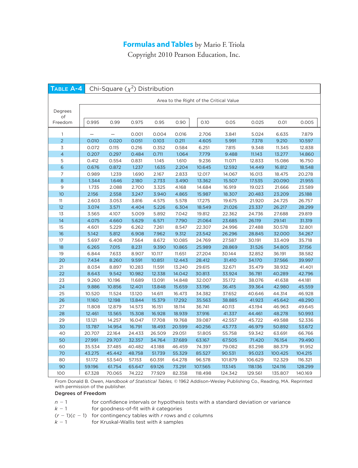# **Formulas and Tables** by Mario F. Triola

Copyright 2010 Pearson Education, Inc.

| TABLE A-4      |                                         | Chi-Square $(\chi^2)$ Distribution |                  |                  |                  |                   |                    |                    |                    |                    |
|----------------|-----------------------------------------|------------------------------------|------------------|------------------|------------------|-------------------|--------------------|--------------------|--------------------|--------------------|
|                | Area to the Right of the Critical Value |                                    |                  |                  |                  |                   |                    |                    |                    |                    |
| Degrees        |                                         |                                    |                  |                  |                  |                   |                    |                    |                    |                    |
| of             |                                         |                                    |                  |                  |                  |                   |                    |                    |                    |                    |
| Freedom        | 0.995                                   | 0.99                               | 0.975            | 0.95             | 0.90             | 0.10              | 0.05               | 0.025              | 0.01               | 0.005              |
| 1              |                                         |                                    | 0.001            | 0.004            | 0.016            | 2.706             | 3.841              | 5.024              | 6.635              | 7.879              |
| $\overline{2}$ | 0.010                                   | 0.020                              | 0.051            | 0.103            | 0.211            | 4.605             | 5.991              | 7.378              | 9.210              | 10.597             |
| 3              | 0.072                                   | 0.115                              | 0.216            | 0.352            | 0.584            | 6.251             | 7.815              | 9.348              | 11.345             | 12.838             |
| 4              | 0.207                                   | 0.297                              | 0.484            | 0.711            | 1.064            | 7.779             | 9.488              | 11.143             | 13.277             | 14.860             |
| 5              | 0.412                                   | 0.554                              | 0.831            | 1.145            | 1.610            | 9.236             | 11.071             | 12.833             | 15.086             | 16.750             |
| 6              | 0.676                                   | 0.872                              | 1.237            | 1.635            | 2.204            | 10.645            | 12.592             | 14.449             | 16.812             | 18.548             |
| 7              | 0.989                                   | 1.239                              | 1.690            | 2.167            | 2.833            | 12.017            | 14.067             | 16.013             | 18.475             | 20.278             |
| 8              | 1.344                                   | 1.646                              | 2.180            | 2.733            | 3.490            | 13.362            | 15.507             | 17.535             | 20.090             | 21.955             |
| 9              | 1.735                                   | 2.088                              | 2.700            | 3.325            | 4.168            | 14.684            | 16.919             | 19.023             | 21.666             | 23.589             |
| 10             | 2.156                                   | 2.558                              | 3.247            | 3.940            | 4.865            | 15.987            | 18.307             | 20.483             | 23.209             | 25.188             |
| 11             | 2.603                                   | 3.053                              | 3.816            | 4.575            | 5.578            | 17.275            | 19.675             | 21.920             | 24.725             | 26.757             |
| 12             | 3.074                                   | 3.571                              | 4.404            | 5.226            | 6.304            | 18.549            | 21.026             | 23.337             | 26.217             | 28.299             |
| 13             | 3.565                                   | 4.107                              | 5.009            | 5.892            | 7.042            | 19.812            | 22.362             | 24.736             | 27.688             | 29.819             |
| 14             | 4.075                                   | 4.660                              | 5.629            | 6.571            | 7.790            | 21.064            | 23.685             | 26.119             | 29.141             | 31.319             |
| 15             | 4.601                                   | 5.229                              | 6.262            | 7.261            | 8.547            | 22.307            | 24.996             | 27.488             | 30.578             | 32.801             |
| 16             | 5.142                                   | 5.812                              | 6.908            | 7.962            | 9.312            | 23.542            | 26.296             | 28.845             | 32.000             | 34.267             |
| 17             | 5.697                                   | 6.408                              | 7.564            | 8.672            | 10.085           | 24.769            | 27.587             | 30.191             | 33.409             | 35.718             |
| 18             | 6.265                                   | 7.015                              | 8.231            | 9.390            | 10.865           | 25.989            | 28.869             | 31.526             | 34.805             | 37.156             |
| 19             | 6.844                                   | 7.633                              | 8.907            | 10.117           | 11.651           | 27.204            | 30.144             | 32.852             | 36.191             | 38.582             |
| 20             | 7.434                                   | 8.260                              | 9.591            | 10.851           | 12.443           | 28.412            | 31.410             | 34.170             | 37.566             | 39.997             |
| 21             | 8.034                                   | 8.897                              | 10.283           | 11.591           | 13.240           | 29.615            | 32.671             | 35.479             | 38.932             | 41.401             |
| 22             | 8.643                                   | 9.542                              | 10.982           | 12.338           | 14.042           | 30.813            | 33.924             | 36.781             | 40.289             | 42.796             |
| 23             | 9.260                                   | 10.196                             | 11.689           | 13.091           | 14.848           | 32.007            | 35.172             | 38.076             | 41.638             | 44.181             |
| 24             | 9.886                                   | 10.856                             | 12.401           | 13.848           | 15.659           | 33.196            | 36.415             | 39.364             | 42.980             | 45.559             |
| 25             | 10.520                                  | 11.524                             | 13.120           | 14.611           | 16.473           | 34.382            | 37.652             | 40.646             | 44.314             | 46.928             |
| 26             | 11.160                                  | 12.198                             | 13.844           | 15.379           | 17.292           | 35.563            | 38.885             | 41.923             | 45.642             | 48.290             |
| 27             | 11.808                                  | 12.879                             | 14.573           | 16.151           | 18.114           | 36.741            | 40.113             | 43.194             | 46.963             | 49.645             |
| 28             | 12.461                                  | 13.565                             | 15.308           | 16.928           | 18.939           | 37.916            | 41.337             | 44.461             | 48.278             | 50.993             |
| 29             | 13.121                                  | 14.257                             | 16.047           | 17.708           | 19.768           | 39.087            | 42.557             | 45.722             | 49.588             | 52.336             |
| 30             | 13.787                                  | 14.954                             | 16.791           | 18.493           | 20.599           | 40.256            | 43.773             | 46.979             | 50.892             | 53.672             |
| 40<br>50       | 20.707<br>27.991                        | 22.164<br>29.707                   | 24.433<br>32.357 | 26.509<br>34.764 | 29.051<br>37.689 | 51.805            | 55.758<br>67.505   | 59.342             | 63.691             | 66.766<br>79.490   |
|                |                                         |                                    |                  |                  |                  | 63.167            |                    | 71.420             | 76.154             |                    |
| 60             | 35.534                                  | 37.485                             | 40.482           | 43.188           | 46.459           | 74.397            | 79.082             | 83.298             | 88.379             | 91.952             |
| 70<br>80       | 43.275                                  | 45.442                             | 48.758           | 51.739           | 55.329           | 85.527            | 90.531             | 95.023             | 100.425            | 104.215            |
| 90             | 51.172<br>59.196                        | 53.540<br>61.754                   | 57.153<br>65.647 | 60.391<br>69.126 | 64.278<br>73.291 | 96.578<br>107.565 | 101.879<br>113.145 | 106.629<br>118.136 | 112.329<br>124.116 | 116.321<br>128.299 |
| 100            | 67.328                                  | 70.065                             | 74.222           | 77.929           | 82.358           | 118.498           | 124.342            | 129.561            | 135.807            | 140.169            |

From Donald B. Owen, Handbook of Statistical Tables, © 1962 Addison-Wesley Publishing Co., Reading, MA. Reprinted with permission of the publisher.

#### Degrees of Freedom

- $n-1$ for confidence intervals or hypothesis tests with a standard deviation or variance
- $k-1$ for goodness-of-fit with  $k$  categories
- $(r-1)(c-1)$  for contingency tables with r rows and c columns
- $k-1$ for Kruskal-Wallis test with  $k$  samples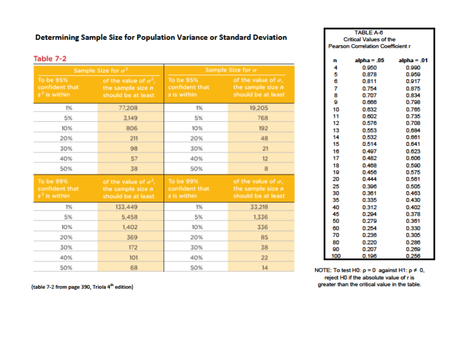# Determining Sample Size for Population Variance or Standard Deviation

# Table 7-2

|                                               | Sample Size for $\sigma^2$                                                | Sample Size for $\sigma$                   |                                                                         |  |  |
|-----------------------------------------------|---------------------------------------------------------------------------|--------------------------------------------|-------------------------------------------------------------------------|--|--|
| To be 95%<br>confident that<br>$s2$ is within | of the value of $\sigma^2$ ,<br>the sample size $n$<br>should be at least | To be 95%<br>confident that<br>s is within | of the value of $\sigma$ ,<br>the sample size $n$<br>should be at least |  |  |
| 1%                                            | 77,208                                                                    | 1%                                         | 19,205                                                                  |  |  |
| 5%                                            | 3,149                                                                     | 5%                                         | 768                                                                     |  |  |
| 10%                                           | 806                                                                       | 10%                                        | 192                                                                     |  |  |
| 20%                                           | 211                                                                       | 20%                                        | 48                                                                      |  |  |
| 30%                                           | 98                                                                        | 30%                                        | 21                                                                      |  |  |
| 40%                                           | 57                                                                        | 40%                                        | 12                                                                      |  |  |
| 50%                                           | 38                                                                        | 50%                                        | 8                                                                       |  |  |
| To be 99%<br>confident that<br>$s2$ is within | of the value of $\sigma^2$ ,<br>the sample size $n$<br>should be at least | To be 99%<br>confident that<br>s is within | of the value of $\sigma$ ,<br>the sample size $n$<br>should be at least |  |  |
| 1%                                            | 133,449                                                                   | 1%                                         | 33,218                                                                  |  |  |
| 5%                                            | 5,458                                                                     | 5%                                         | 1,336                                                                   |  |  |
| 10%                                           | 1,402                                                                     | 10%                                        | 336                                                                     |  |  |
| 20%                                           | 369                                                                       | 20%                                        | 85                                                                      |  |  |
| 30%                                           | 172                                                                       | 30%                                        | 38                                                                      |  |  |
| 40%                                           | 101                                                                       | 40%                                        | 22                                                                      |  |  |
| 50%                                           | 68                                                                        | 50%                                        | 14                                                                      |  |  |

(table 7-2 from page 390, Triola 4<sup>th</sup> edition)

| <b>TABLE A-6</b>    |                                          |               |  |  |  |  |  |
|---------------------|------------------------------------------|---------------|--|--|--|--|--|
|                     | <b>Critical Values of the</b>            |               |  |  |  |  |  |
|                     | <b>Pearson Correlation Coefficient r</b> |               |  |  |  |  |  |
|                     |                                          |               |  |  |  |  |  |
| n                   | alpha = .05                              | $alpha = .01$ |  |  |  |  |  |
| 4                   | 0.950                                    | 0.990         |  |  |  |  |  |
| 5                   | 0.878                                    | 0.959         |  |  |  |  |  |
| 6<br>0.811<br>0.917 |                                          |               |  |  |  |  |  |
| 7                   | 0.754                                    | 0.875         |  |  |  |  |  |
| 8                   | 0.707                                    | 0.834         |  |  |  |  |  |
| 9                   | 0.666                                    | 0.798         |  |  |  |  |  |
| 10                  | 0.632                                    | 0.765         |  |  |  |  |  |
| 11                  | 0.602                                    | 0.735         |  |  |  |  |  |
| 12                  | 0.576                                    | 0.708         |  |  |  |  |  |
| 13                  | 0.553                                    | 0.684         |  |  |  |  |  |
| 14                  | 0.532<br>0.661                           |               |  |  |  |  |  |
|                     | 15<br>0.514<br>0.641                     |               |  |  |  |  |  |
| 16                  | 0.623                                    |               |  |  |  |  |  |
| 17                  | 0.606                                    |               |  |  |  |  |  |
| 18                  | 0.468                                    | 0.590         |  |  |  |  |  |
| 19                  | 0.456                                    | 0.575         |  |  |  |  |  |
| 20                  | 0.444                                    | 0.561         |  |  |  |  |  |
| 25                  | 0.396                                    | 0.505         |  |  |  |  |  |
| 30                  | 0.361                                    | 0.463         |  |  |  |  |  |
| 35                  | 0.335                                    | 0.430         |  |  |  |  |  |
| 40                  | 0.312                                    | 0.402         |  |  |  |  |  |
| 45                  | 0.294                                    | 0.378         |  |  |  |  |  |
| 50                  | 0.279                                    | 0.361         |  |  |  |  |  |
| 60                  | 0.254                                    | 0.330         |  |  |  |  |  |
| 70                  | 0.236                                    | 0.305         |  |  |  |  |  |
| 80                  | 0.220                                    | 0.286         |  |  |  |  |  |
| 90                  | 0.207                                    | 0.269         |  |  |  |  |  |
| 100                 | 0.196                                    | 0.256         |  |  |  |  |  |

NOTE: To test H0:  $p = 0$  against H1:  $p \neq 0$ , reject H0 if the absolute value of r is greater than the critical value in the table.